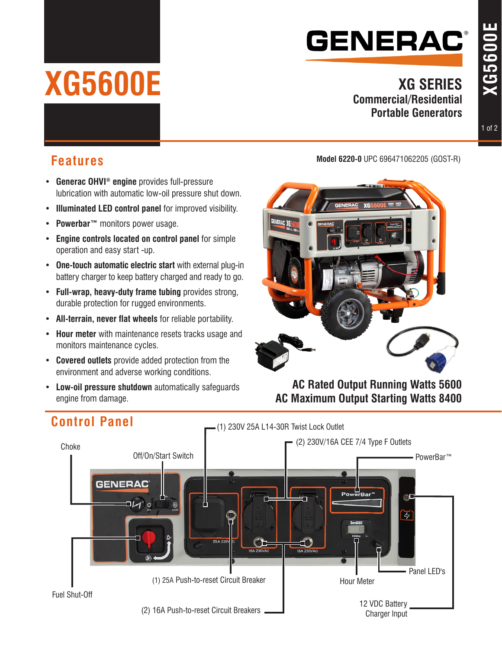# **GENERAC®**

#### **XG SERIES Commercial/Residential Portable Generators**

**XG5600E**

**XG5600E** 

- • **Generac OHVI® engine** provides full-pressure lubrication with automatic low-oil pressure shut down.
- • **Illuminated LED control panel** for improved visibility.
- • **Powerbar™** monitors power usage.

**XG5600E**

- • **Engine controls located on control panel** for simple operation and easy start -up.
- • **One-touch automatic electric start** with external plug-in battery charger to keep battery charged and ready to go.
- • **Full-wrap, heavy-duty frame tubing** provides strong, durable protection for rugged environments.
- • **All-terrain, never flat wheels** for reliable portability.
- • **Hour meter** with maintenance resets tracks usage and monitors maintenance cycles.
- • **Covered outlets** provide added protection from the environment and adverse working conditions.
- • **Low-oil pressure shutdown** automatically safeguards engine from damage.

#### **Model 6220-0** UPC 696471062205 (GOST-R) **Features**



**AC Rated Output Running Watts 5600 AC Maximum Output Starting Watts 8400**



### **Control Panel**